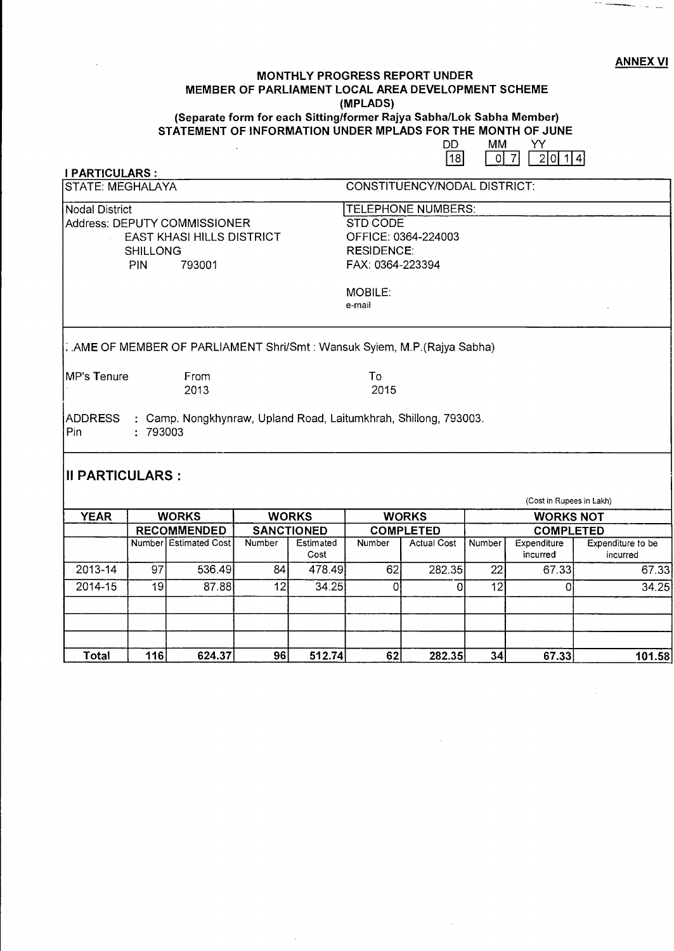#### ANNEX VI

 $\begin{array}{|c|c|c|c|c|}\n\hline\n0&7&20&14\n\end{array}$ 

#### MONTHLY PROGRESS REPORT UNDER MEMBER OF PARLIAMENT LOCAL AREA DEVELOPMENT SCHEME (MPLADS)

(Separate form for each Sitting/former Rajya Sabha/Lok Sabha Member) STATEMENT OF INFORMATION UNDER MPLADS FOR THE MONTH OF JUNE

DD MM YY<br>[18] 0 7 2

| <b>I PARTICULARS:</b>                       |          |                                                                                                                                                                       |        |                   |                                     |                           |                  |                          |                               |  |  |
|---------------------------------------------|----------|-----------------------------------------------------------------------------------------------------------------------------------------------------------------------|--------|-------------------|-------------------------------------|---------------------------|------------------|--------------------------|-------------------------------|--|--|
| ISTATE: MEGHALAYA                           |          |                                                                                                                                                                       |        |                   | <b>CONSTITUENCY/NODAL DISTRICT:</b> |                           |                  |                          |                               |  |  |
| Nodal District                              |          |                                                                                                                                                                       |        |                   |                                     | <b>TELEPHONE NUMBERS:</b> |                  |                          |                               |  |  |
| Address: DEPUTY COMMISSIONER                |          |                                                                                                                                                                       |        |                   | STD CODE                            |                           |                  |                          |                               |  |  |
| <b>EAST KHASI HILLS DISTRICT</b>            |          |                                                                                                                                                                       |        |                   | OFFICE: 0364-224003                 |                           |                  |                          |                               |  |  |
| <b>SHILLONG</b>                             |          |                                                                                                                                                                       |        |                   | <b>RESIDENCE:</b>                   |                           |                  |                          |                               |  |  |
|                                             | PIN      | 793001                                                                                                                                                                |        |                   | FAX: 0364-223394                    |                           |                  |                          |                               |  |  |
|                                             |          |                                                                                                                                                                       |        |                   | MOBILE:                             |                           |                  |                          |                               |  |  |
|                                             |          |                                                                                                                                                                       |        |                   | e-mail                              |                           |                  |                          |                               |  |  |
| MP's Tenure<br>Pin<br>III PARTICULARS :     | : 793003 | . AME OF MEMBER OF PARLIAMENT Shri/Smt : Wansuk Syiem, M.P. (Rajya Sabha)<br>From<br>2013<br>ADDRESS : Camp. Nongkhynraw, Upland Road, Laitumkhrah, Shillong, 793003. |        |                   | To<br>2015                          |                           |                  |                          |                               |  |  |
|                                             |          |                                                                                                                                                                       |        |                   |                                     |                           |                  | (Cost in Rupees in Lakh) |                               |  |  |
| <b>YEAR</b><br><b>WORKS</b><br><b>WORKS</b> |          |                                                                                                                                                                       |        |                   |                                     | <b>WORKS</b>              | <b>WORKS NOT</b> |                          |                               |  |  |
|                                             |          | <b>RECOMMENDED</b>                                                                                                                                                    |        | <b>SANCTIONED</b> |                                     | <b>COMPLETED</b>          |                  | <b>COMPLETED</b>         |                               |  |  |
|                                             |          | Number Estimated Cost                                                                                                                                                 | Number | Estimated<br>Cost | Number                              | <b>Actual Cost</b>        | Number           | Expenditure<br>incurred  | Expenditure to be<br>incurred |  |  |
| 2013-14                                     | 97       | 536.49                                                                                                                                                                | 84     | 478.49            | 62                                  | 282.35                    | 22               | 67.33                    | 67.33                         |  |  |
| 2014-15                                     | 19       | 87.88                                                                                                                                                                 | 12     | 34.25             | $\overline{0}$                      | 0                         | 12               | $\Omega$                 | 34.25                         |  |  |
|                                             |          |                                                                                                                                                                       |        |                   |                                     |                           |                  |                          |                               |  |  |

Total | 116 | 624.37 | 96 | 512.74 | 62 | 282.35 | 34 | 67.33 | 101.58 |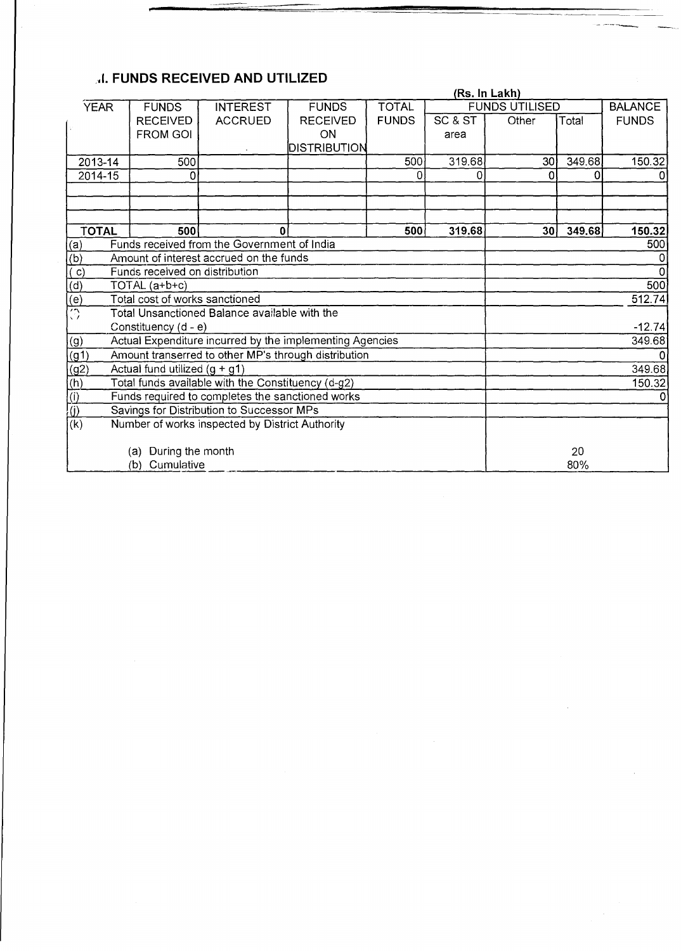# i'l. **FUNDS RECEIVED AND UTILIZED**

| <b>TOTAL</b><br><b>FUNDS UTILISED</b><br><b>YEAR</b><br><b>INTEREST</b><br><b>FUNDS</b><br><b>FUNDS</b><br>SC & ST<br>Total<br><b>RECEIVED</b><br><b>ACCRUED</b><br><b>RECEIVED</b><br><b>FUNDS</b><br>Other<br><b>FROM GOI</b><br>ON<br>area<br>DISTRIBUTION<br>349.68<br>319.68<br>500<br>500<br>30 <sub>l</sub><br>2013-14<br>2014-15<br>$\Omega$<br>0<br>0<br>0<br>0<br><b>TOTAL</b><br>500<br>319.68<br>349.68<br>500<br>30 <sup>1</sup><br>O.<br>Funds received from the Government of India<br><u>(a)</u><br>$\overline{(b)}$<br>Amount of interest accrued on the funds<br>$\overline{(\mathsf{c})}$<br>Funds received on distribution<br>$\frac{1}{10}$<br>TOTAL (a+b+c)<br>Total cost of works sanctioned<br>$\overline{\mathbb{C}}$<br>Total Unsanctioned Balance available with the<br>Constituency (d - e)<br>Actual Expenditure incurred by the implementing Agencies<br>$\overline{(9)}$<br>$\overline{(g1)}$<br>Amount transerred to other MP's through distribution<br>Actual fund utilized (g + g1)<br>Total funds available with the Constituency (d-g2)<br>Funds required to completes the sanctioned works<br>Savings for Distribution to Successor MPs<br>Number of works inspected by District Authority |  |  |  | (Rs. In Lakh) |                |
|---------------------------------------------------------------------------------------------------------------------------------------------------------------------------------------------------------------------------------------------------------------------------------------------------------------------------------------------------------------------------------------------------------------------------------------------------------------------------------------------------------------------------------------------------------------------------------------------------------------------------------------------------------------------------------------------------------------------------------------------------------------------------------------------------------------------------------------------------------------------------------------------------------------------------------------------------------------------------------------------------------------------------------------------------------------------------------------------------------------------------------------------------------------------------------------------------------------------------------|--|--|--|---------------|----------------|
| $\frac{(q2)}{(h)}$<br>(i)<br>(i)<br>(k)                                                                                                                                                                                                                                                                                                                                                                                                                                                                                                                                                                                                                                                                                                                                                                                                                                                                                                                                                                                                                                                                                                                                                                                         |  |  |  |               | <b>BALANCE</b> |
|                                                                                                                                                                                                                                                                                                                                                                                                                                                                                                                                                                                                                                                                                                                                                                                                                                                                                                                                                                                                                                                                                                                                                                                                                                 |  |  |  |               | <b>FUNDS</b>   |
|                                                                                                                                                                                                                                                                                                                                                                                                                                                                                                                                                                                                                                                                                                                                                                                                                                                                                                                                                                                                                                                                                                                                                                                                                                 |  |  |  |               |                |
|                                                                                                                                                                                                                                                                                                                                                                                                                                                                                                                                                                                                                                                                                                                                                                                                                                                                                                                                                                                                                                                                                                                                                                                                                                 |  |  |  |               |                |
|                                                                                                                                                                                                                                                                                                                                                                                                                                                                                                                                                                                                                                                                                                                                                                                                                                                                                                                                                                                                                                                                                                                                                                                                                                 |  |  |  |               | 150.32         |
|                                                                                                                                                                                                                                                                                                                                                                                                                                                                                                                                                                                                                                                                                                                                                                                                                                                                                                                                                                                                                                                                                                                                                                                                                                 |  |  |  |               | $\mathbf{0}$   |
|                                                                                                                                                                                                                                                                                                                                                                                                                                                                                                                                                                                                                                                                                                                                                                                                                                                                                                                                                                                                                                                                                                                                                                                                                                 |  |  |  |               |                |
|                                                                                                                                                                                                                                                                                                                                                                                                                                                                                                                                                                                                                                                                                                                                                                                                                                                                                                                                                                                                                                                                                                                                                                                                                                 |  |  |  |               |                |
|                                                                                                                                                                                                                                                                                                                                                                                                                                                                                                                                                                                                                                                                                                                                                                                                                                                                                                                                                                                                                                                                                                                                                                                                                                 |  |  |  |               |                |
|                                                                                                                                                                                                                                                                                                                                                                                                                                                                                                                                                                                                                                                                                                                                                                                                                                                                                                                                                                                                                                                                                                                                                                                                                                 |  |  |  |               | 150.32         |
|                                                                                                                                                                                                                                                                                                                                                                                                                                                                                                                                                                                                                                                                                                                                                                                                                                                                                                                                                                                                                                                                                                                                                                                                                                 |  |  |  |               | 500            |
|                                                                                                                                                                                                                                                                                                                                                                                                                                                                                                                                                                                                                                                                                                                                                                                                                                                                                                                                                                                                                                                                                                                                                                                                                                 |  |  |  |               | 0              |
|                                                                                                                                                                                                                                                                                                                                                                                                                                                                                                                                                                                                                                                                                                                                                                                                                                                                                                                                                                                                                                                                                                                                                                                                                                 |  |  |  |               | $\mathbf 0$    |
|                                                                                                                                                                                                                                                                                                                                                                                                                                                                                                                                                                                                                                                                                                                                                                                                                                                                                                                                                                                                                                                                                                                                                                                                                                 |  |  |  |               | 500            |
|                                                                                                                                                                                                                                                                                                                                                                                                                                                                                                                                                                                                                                                                                                                                                                                                                                                                                                                                                                                                                                                                                                                                                                                                                                 |  |  |  |               | 512.74         |
|                                                                                                                                                                                                                                                                                                                                                                                                                                                                                                                                                                                                                                                                                                                                                                                                                                                                                                                                                                                                                                                                                                                                                                                                                                 |  |  |  |               |                |
|                                                                                                                                                                                                                                                                                                                                                                                                                                                                                                                                                                                                                                                                                                                                                                                                                                                                                                                                                                                                                                                                                                                                                                                                                                 |  |  |  |               | $-12.74$       |
|                                                                                                                                                                                                                                                                                                                                                                                                                                                                                                                                                                                                                                                                                                                                                                                                                                                                                                                                                                                                                                                                                                                                                                                                                                 |  |  |  |               | 349.68         |
|                                                                                                                                                                                                                                                                                                                                                                                                                                                                                                                                                                                                                                                                                                                                                                                                                                                                                                                                                                                                                                                                                                                                                                                                                                 |  |  |  |               | $\Omega$       |
|                                                                                                                                                                                                                                                                                                                                                                                                                                                                                                                                                                                                                                                                                                                                                                                                                                                                                                                                                                                                                                                                                                                                                                                                                                 |  |  |  |               | 349.68         |
|                                                                                                                                                                                                                                                                                                                                                                                                                                                                                                                                                                                                                                                                                                                                                                                                                                                                                                                                                                                                                                                                                                                                                                                                                                 |  |  |  |               | 150.32         |
|                                                                                                                                                                                                                                                                                                                                                                                                                                                                                                                                                                                                                                                                                                                                                                                                                                                                                                                                                                                                                                                                                                                                                                                                                                 |  |  |  |               | $\mathbf{0}$   |
|                                                                                                                                                                                                                                                                                                                                                                                                                                                                                                                                                                                                                                                                                                                                                                                                                                                                                                                                                                                                                                                                                                                                                                                                                                 |  |  |  |               |                |
|                                                                                                                                                                                                                                                                                                                                                                                                                                                                                                                                                                                                                                                                                                                                                                                                                                                                                                                                                                                                                                                                                                                                                                                                                                 |  |  |  |               |                |
|                                                                                                                                                                                                                                                                                                                                                                                                                                                                                                                                                                                                                                                                                                                                                                                                                                                                                                                                                                                                                                                                                                                                                                                                                                 |  |  |  |               |                |
| (a) During the month<br>20                                                                                                                                                                                                                                                                                                                                                                                                                                                                                                                                                                                                                                                                                                                                                                                                                                                                                                                                                                                                                                                                                                                                                                                                      |  |  |  |               |                |
| Cumulative<br>80%<br>(b)                                                                                                                                                                                                                                                                                                                                                                                                                                                                                                                                                                                                                                                                                                                                                                                                                                                                                                                                                                                                                                                                                                                                                                                                        |  |  |  |               |                |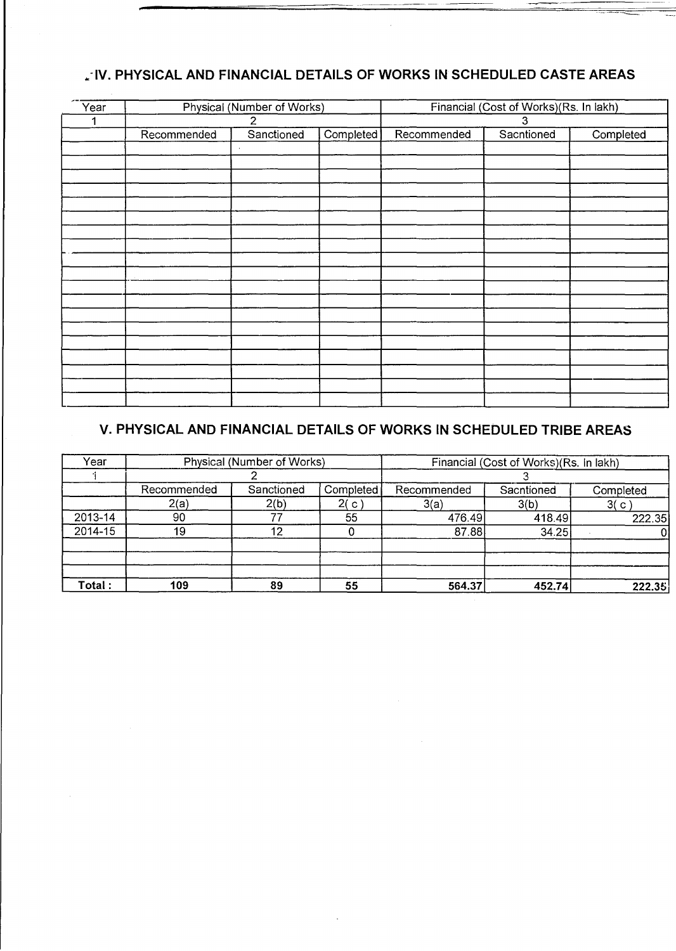# **..-IV. PHYSICAL AND FINANCIAL DETAILS OF WORKS IN SCHEDULED CASTE AREAS**

 $\mathcal{L}$ 

 $\overline{\phantom{a}}$ 

| Year |             | <b>Physical (Number of Works)</b> |           | Financial (Cost of Works)(Rs. In lakh) |            |           |  |
|------|-------------|-----------------------------------|-----------|----------------------------------------|------------|-----------|--|
|      |             | $\overline{2}$                    |           | 3                                      |            |           |  |
|      | Recommended | Sanctioned                        | Completed | Recommended                            | Sacntioned | Completed |  |
|      |             |                                   |           |                                        |            |           |  |
|      |             |                                   |           |                                        |            |           |  |
|      |             |                                   |           |                                        |            |           |  |
|      |             |                                   |           |                                        |            |           |  |
|      |             |                                   |           |                                        |            |           |  |
|      |             |                                   |           |                                        |            |           |  |
|      |             |                                   |           |                                        |            |           |  |
|      |             |                                   |           |                                        |            |           |  |
|      |             |                                   |           |                                        |            |           |  |
|      |             |                                   |           |                                        |            |           |  |
|      |             |                                   |           |                                        |            |           |  |
|      |             |                                   |           |                                        |            |           |  |
|      |             |                                   |           |                                        |            |           |  |
|      |             |                                   |           |                                        |            |           |  |
|      |             |                                   |           |                                        |            |           |  |
|      |             |                                   |           |                                        |            |           |  |
|      |             |                                   |           |                                        |            |           |  |
|      |             |                                   |           |                                        |            |           |  |
|      |             |                                   |           |                                        |            |           |  |
|      |             |                                   |           |                                        |            |           |  |
|      |             |                                   |           |                                        |            |           |  |

### **V. PHYSICAL AND FINANCIAL DETAILS OF WORKS IN SCHEDULED TRIBE AREAS**

| Year    |             | Physical (Number of Works) |           | Financial (Cost of Works)(Rs. In lakh) |            |           |  |
|---------|-------------|----------------------------|-----------|----------------------------------------|------------|-----------|--|
|         |             |                            |           |                                        |            |           |  |
|         | Recommended | Sanctioned                 | Completed | Recommended                            | Sacntioned | Completed |  |
|         | 2(a)        | 2(b)                       | 2(c)      | 3(a)                                   | 3(b)       | 3(c)      |  |
| 2013-14 | 90          |                            | 55        | 476.49                                 | 418.49     | 222.35    |  |
| 2014-15 | 19          | 12                         |           | 87.88                                  | 34.25      |           |  |
|         |             |                            |           |                                        |            |           |  |
|         |             |                            |           |                                        |            |           |  |
| Total:  | 109         | 89                         | 55        | 564.37                                 | 452.74     | 222.35    |  |